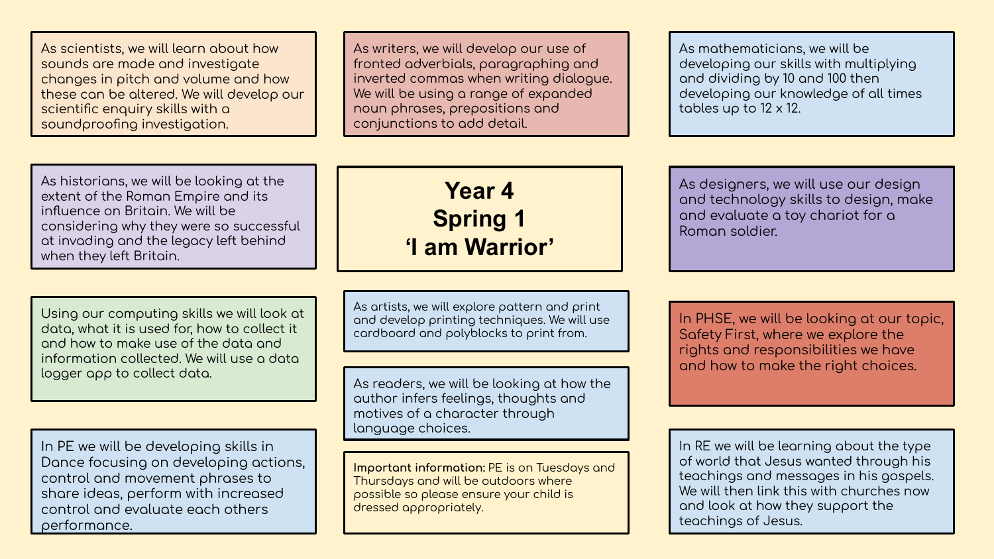As scientists, we will learn about how sounds are made and investigate changes in pitch and volume and how these can be altered. We will develop our scientific enquiry skills with a soundproofing investigation.

As writers, we will develop our use of fronted adverbials, paragraphing and inverted commas when writing dialoque. We will be using a range of expanded noun phrases, prepositions and conjunctions to add detail.

As mathematicians, we will be developing our skills with multiplying and dividing by 10 and 100 then developing our knowledge of all times tables up to 12 x 12.

As historians, we will be looking at the extent of the Roman Empire and its influence on Britain. We will be considering why they were so successful at invading and the legacy left behind when they left Britain.

Using our computing skills we will look at data, what it is used for, how to collect it and how to make use of the data and inÿormation collected. We will use a data logger app to collect data.

In PE we will be developing skills in Dance focusing on developing actions, control and movement phrases to share ideas, perform with increased control and evaluate each others performance.

**Year 4 Spring 1 'I am Warrior'**

As artists, we will explore pattern and print and develop printing techniques. We will use cardboard and polyblocks to print from.

As readers, we will be looking at how the author infers feelings, thoughts and motives of a character through language choices.

**Important information:** PE is on Tuesdays and Thursdays and will be outdoors where possible so please ensure your child is dressed appropriately.

As designers, we will use our design and technology skills to design, make and evaluate a toy chariot for a Roman soldier.

In PHSE, we will be looking at our topic, Safety First, where we explore the rights and responsibilities we have and how to make the right choices.

In RE we will be learning about the type of world that Jesus wanted through his teachings and messages in his gospels. We will then link this with churches now and look at how they support the teachings of Jesus.